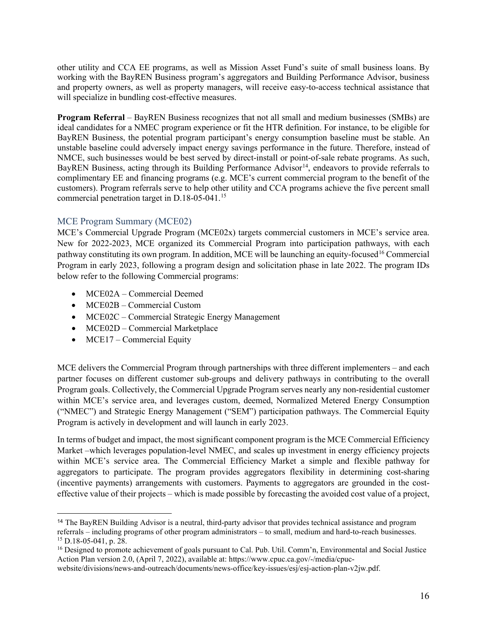other utility and CCA EE programs, as well as Mission Asset Fund's suite of small business loans. By working with the BayREN Business program's aggregators and Building Performance Advisor, business and property owners, as well as property managers, will receive easy-to-access technical assistance that will specialize in bundling cost-effective measures.

**Program Referral** – BayREN Business recognizes that not all small and medium businesses (SMBs) are ideal candidates for a NMEC program experience or fit the HTR definition. For instance, to be eligible for BayREN Business, the potential program participant's energy consumption baseline must be stable. An unstable baseline could adversely impact energy savings performance in the future. Therefore, instead of NMCE, such businesses would be best served by direct-install or point-of-sale rebate programs. As such, BayREN Business, acting through its Building Performance Advisor<sup>[14](#page-15-0)</sup>, endeavors to provide referrals to complimentary EE and financing programs (e.g. MCE's current commercial program to the benefit of the customers). Program referrals serve to help other utility and CCA programs achieve the five percent small commercial penetration target in D.18-05-041.[15](#page-15-1)

## MCE Program Summary (MCE02)

MCE's Commercial Upgrade Program (MCE02x) targets commercial customers in MCE's service area. New for 2022-2023, MCE organized its Commercial Program into participation pathways, with each pathway constituting its own program. In addition, MCE will be launching an equity-focused<sup>[16](#page-15-2)</sup> Commercial Program in early 2023, following a program design and solicitation phase in late 2022. The program IDs below refer to the following Commercial programs:

- MCE02A Commercial Deemed
- MCE02B Commercial Custom
- MCE02C Commercial Strategic Energy Management
- MCE02D Commercial Marketplace
- MCE17 Commercial Equity

MCE delivers the Commercial Program through partnerships with three different implementers – and each partner focuses on different customer sub-groups and delivery pathways in contributing to the overall Program goals. Collectively, the Commercial Upgrade Program serves nearly any non-residential customer within MCE's service area, and leverages custom, deemed, Normalized Metered Energy Consumption ("NMEC") and Strategic Energy Management ("SEM") participation pathways. The Commercial Equity Program is actively in development and will launch in early 2023.

In terms of budget and impact, the most significant component program is the MCE Commercial Efficiency Market –which leverages population-level NMEC, and scales up investment in energy efficiency projects within MCE's service area. The Commercial Efficiency Market a simple and flexible pathway for aggregators to participate. The program provides aggregators flexibility in determining cost-sharing (incentive payments) arrangements with customers. Payments to aggregators are grounded in the costeffective value of their projects – which is made possible by forecasting the avoided cost value of a project,

<span id="page-15-0"></span><sup>14</sup> The BayREN Building Advisor is a neutral, third-party advisor that provides technical assistance and program referrals – including programs of other program administrators – to small, medium and hard-to-reach businesses.  $15$  D.18-05-041, p. 28.

<span id="page-15-2"></span><span id="page-15-1"></span><sup>&</sup>lt;sup>16</sup> Designed to promote achievement of goals pursuant to Cal. Pub. Util. Comm'n, Environmental and Social Justice Action Plan version 2.0, (April 7, 2022), available at: https://www.cpuc.ca.gov/-/media/cpuc-

website/divisions/news-and-outreach/documents/news-office/key-issues/esj/esj-action-plan-v2jw.pdf.